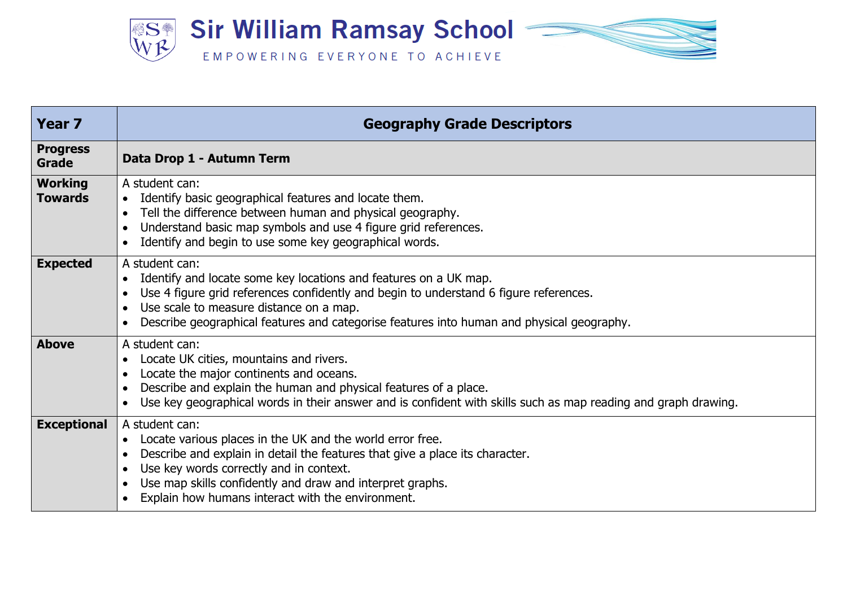

| <b>Year 7</b>                    | <b>Geography Grade Descriptors</b>                                                                                                                                                                                                                                                                                                    |
|----------------------------------|---------------------------------------------------------------------------------------------------------------------------------------------------------------------------------------------------------------------------------------------------------------------------------------------------------------------------------------|
| <b>Progress</b><br>Grade         | Data Drop 1 - Autumn Term                                                                                                                                                                                                                                                                                                             |
| <b>Working</b><br><b>Towards</b> | A student can:<br>Identify basic geographical features and locate them.<br>$\bullet$<br>Tell the difference between human and physical geography.<br>$\bullet$<br>Understand basic map symbols and use 4 figure grid references.<br>Identify and begin to use some key geographical words.                                            |
| <b>Expected</b>                  | A student can:<br>Identify and locate some key locations and features on a UK map.<br>$\bullet$<br>Use 4 figure grid references confidently and begin to understand 6 figure references.<br>Use scale to measure distance on a map.<br>Describe geographical features and categorise features into human and physical geography.      |
| <b>Above</b>                     | A student can:<br>Locate UK cities, mountains and rivers.<br>Locate the major continents and oceans.<br>Describe and explain the human and physical features of a place.<br>Use key geographical words in their answer and is confident with skills such as map reading and graph drawing.                                            |
| <b>Exceptional</b>               | A student can:<br>Locate various places in the UK and the world error free.<br>$\bullet$<br>Describe and explain in detail the features that give a place its character.<br>Use key words correctly and in context.<br>Use map skills confidently and draw and interpret graphs.<br>Explain how humans interact with the environment. |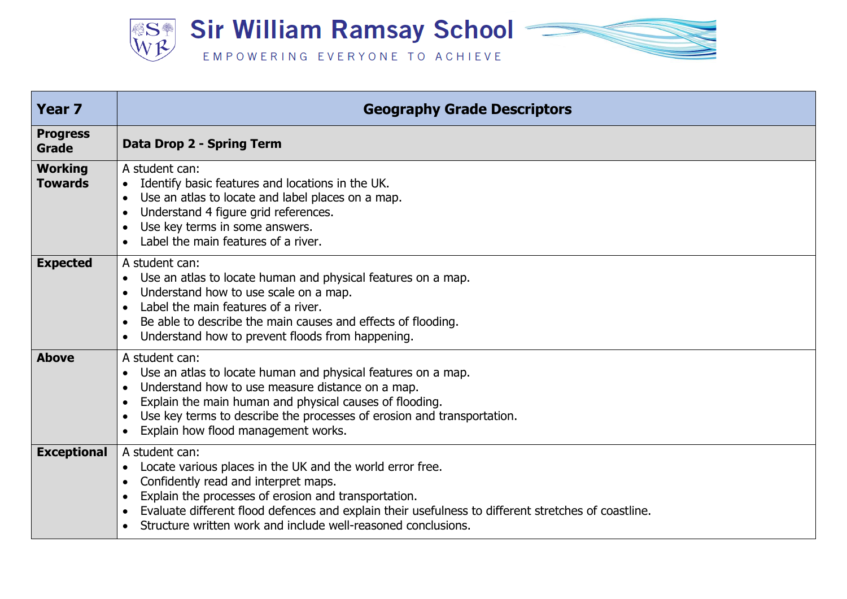

| <b>Year 7</b>                    | <b>Geography Grade Descriptors</b>                                                                                                                                                                                                                                                                                                                  |
|----------------------------------|-----------------------------------------------------------------------------------------------------------------------------------------------------------------------------------------------------------------------------------------------------------------------------------------------------------------------------------------------------|
| <b>Progress</b><br><b>Grade</b>  | <b>Data Drop 2 - Spring Term</b>                                                                                                                                                                                                                                                                                                                    |
| <b>Working</b><br><b>Towards</b> | A student can:<br>Identify basic features and locations in the UK.<br>Use an atlas to locate and label places on a map.<br>Understand 4 figure grid references.<br>Use key terms in some answers.<br>Label the main features of a river.                                                                                                            |
| <b>Expected</b>                  | A student can:<br>Use an atlas to locate human and physical features on a map.<br>Understand how to use scale on a map.<br>Label the main features of a river.<br>Be able to describe the main causes and effects of flooding.<br>Understand how to prevent floods from happening.                                                                  |
| <b>Above</b>                     | A student can:<br>Use an atlas to locate human and physical features on a map.<br>Understand how to use measure distance on a map.<br>Explain the main human and physical causes of flooding.<br>Use key terms to describe the processes of erosion and transportation.<br>Explain how flood management works.                                      |
| <b>Exceptional</b>               | A student can:<br>Locate various places in the UK and the world error free.<br>Confidently read and interpret maps.<br>Explain the processes of erosion and transportation.<br>Evaluate different flood defences and explain their usefulness to different stretches of coastline.<br>Structure written work and include well-reasoned conclusions. |